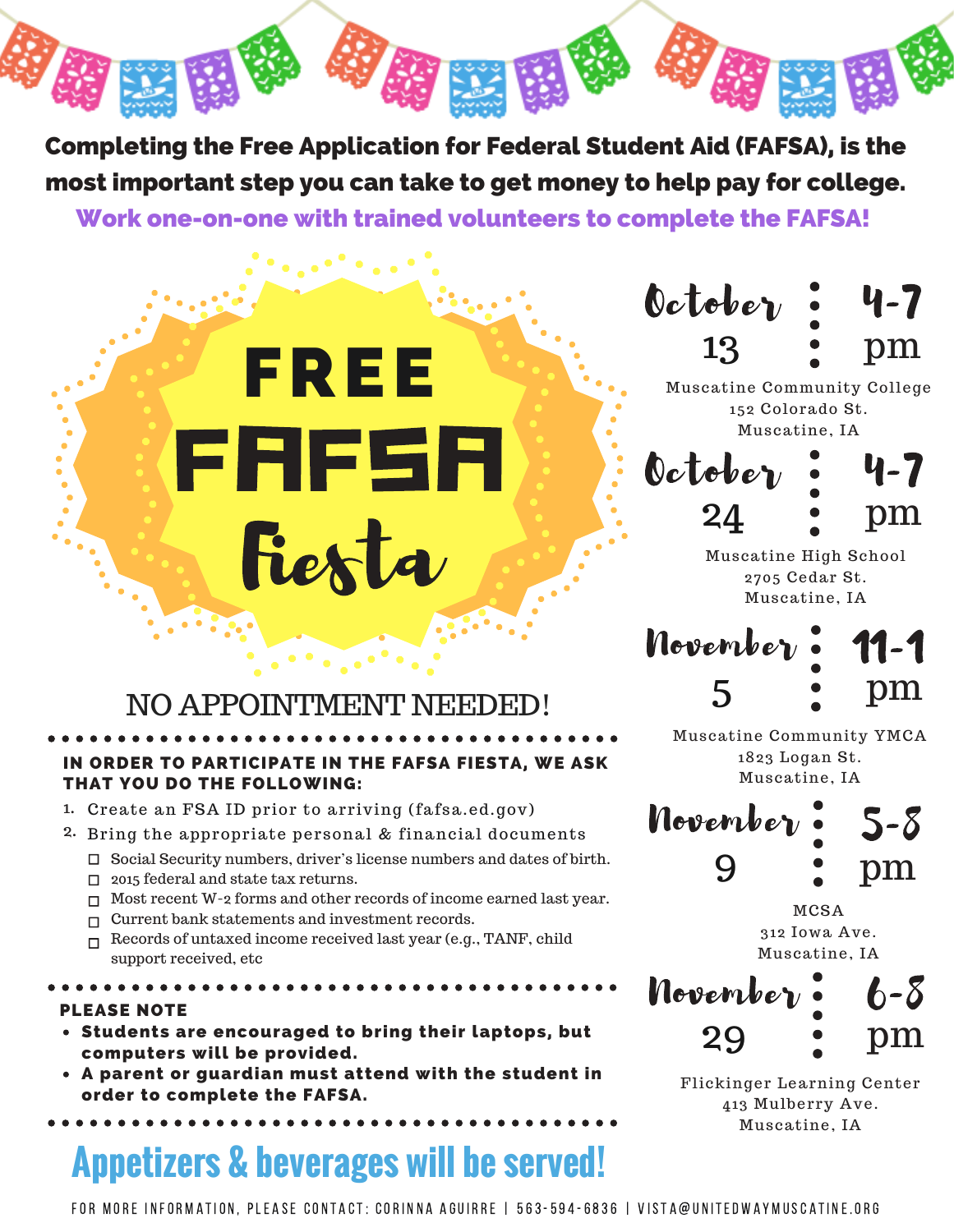Completing the Free Application for Federal Student Aid (FAFSA), is the most important step you can take to get money to help pay for college. Work one-on-one with trained volunteers to complete the FAFSA!

# FREE ERESE **EXECUTE AND SECURE AND SECURE AND SECURE AND SECURE AND SECURE ALLOWING:**<br> **FAFFICIPATE IN THE FAFSA FIESTA,**<br> **FARK ID prior to arriving (fafsa.ed.gov**<br>
appropriate personal & financial docuting where  $\frac{1}{2}$  and state Fiesta

October 13 4-7 pm

Muscatine Community College 152 Colorado St. Muscatine, IA

October 24 4-7 pm

Muscatine High School 2705 Cedar St. Muscatine, IA

november. 5 11-1 pm

Muscatine Community YMCA 1823 Logan St. Muscatine, IA



MCSA 312 Iowa Ave. Muscatine, IA



Flickinger Learning Center 413 Mulberry Ave. Muscatine, IA

## NO APPOINTMENT NEEDED!

### IN ORDER TO PARTICIPATE IN THE FAFSA FIESTA, WE ASK THAT YOU DO THE FOLLOWING:

- Create an FSA ID prior to arriving (fafsa.ed.gov) 1.
- 2. Bring the appropriate personal & financial documents
	- □ Social Security numbers, driver's license numbers and dates of birth.
	- $\Box$  2015 federal and state tax returns.
	- □ Most recent W-2 forms and other records of income earned last year.
	- □ Current bank statements and investment records.
	- $\Box$  Records of untaxed income received last year (e.g., TANF, child support received, etc

PLEASE NOTE

- Students are encouraged to bring their laptops, but computers will be provided.
- A parent or guardian must attend with the student in order to complete the FAFSA.

# **Appetizers & beverages will be served!**

FOR MORE INFORMATION, PLEASE CONTACT: CORINNA AGUIRRE | 563-594-6836 | VISTA@UNITEDWAYMUSCATINE.ORG